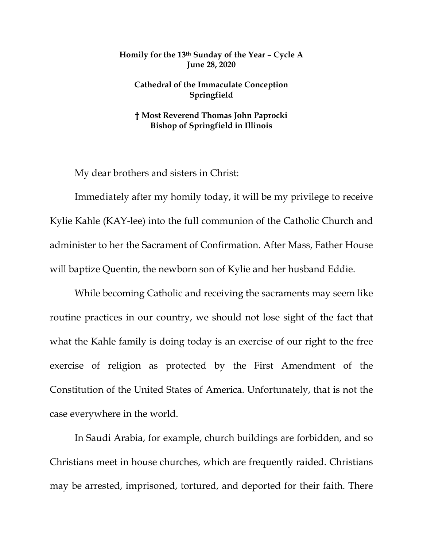## **Homily for the 13th Sunday of the Year – Cycle A June 28, 2020**

## **Cathedral of the Immaculate Conception Springfield**

## **† Most Reverend Thomas John Paprocki Bishop of Springfield in Illinois**

My dear brothers and sisters in Christ:

Immediately after my homily today, it will be my privilege to receive Kylie Kahle (KAY-lee) into the full communion of the Catholic Church and administer to her the Sacrament of Confirmation. After Mass, Father House will baptize Quentin, the newborn son of Kylie and her husband Eddie.

While becoming Catholic and receiving the sacraments may seem like routine practices in our country, we should not lose sight of the fact that what the Kahle family is doing today is an exercise of our right to the free exercise of religion as protected by the First Amendment of the Constitution of the United States of America. Unfortunately, that is not the case everywhere in the world.

In Saudi Arabia, for example, church buildings are forbidden, and so Christians meet in house churches, which are frequently raided. Christians may be arrested, imprisoned, tortured, and deported for their faith. There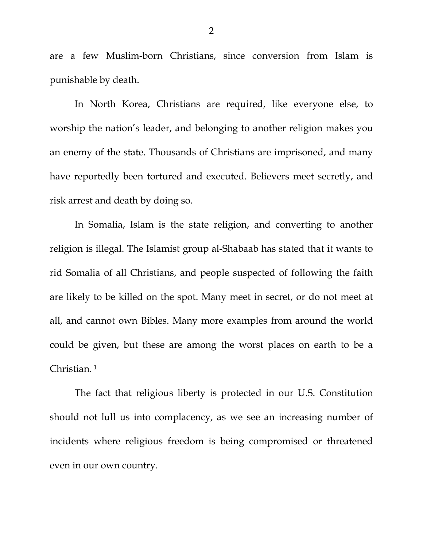are a few Muslim-born Christians, since conversion from Islam is punishable by death.

In North Korea, Christians are required, like everyone else, to worship the nation's leader, and belonging to another religion makes you an enemy of the state. Thousands of Christians are imprisoned, and many have reportedly been tortured and executed. Believers meet secretly, and risk arrest and death by doing so.

In Somalia, Islam is the state religion, and converting to another religion is illegal. The Islamist group al-Shabaab has stated that it wants to rid Somalia of all Christians, and people suspected of following the faith are likely to be killed on the spot. Many meet in secret, or do not meet at all, and cannot own Bibles. Many more examples from around the world could be given, but these are among the worst places on earth to be a Christian. [1](#page-5-0)

The fact that religious liberty is protected in our U.S. Constitution should not lull us into complacency, as we see an increasing number of incidents where religious freedom is being compromised or threatened even in our own country.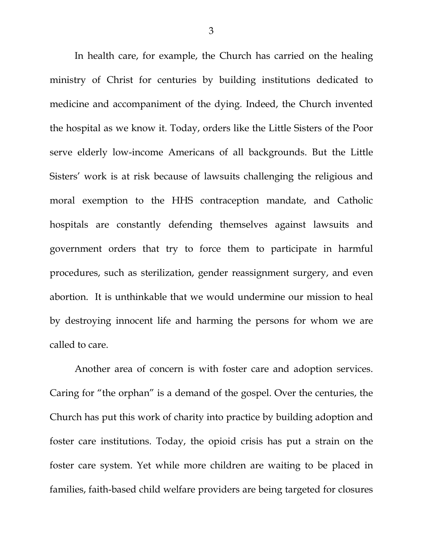In health care, for example, the Church has carried on the healing ministry of Christ for centuries by building institutions dedicated to medicine and accompaniment of the dying. Indeed, the Church invented the hospital as we know it. Today, orders like the Little Sisters of the Poor serve elderly low-income Americans of all backgrounds. But the Little Sisters' work is at risk because of lawsuits challenging the religious and moral exemption to the HHS contraception mandate, and Catholic hospitals are constantly defending themselves against lawsuits and government orders that try to force them to participate in harmful procedures, such as sterilization, gender reassignment surgery, and even abortion. It is unthinkable that we would undermine our mission to heal by destroying innocent life and harming the persons for whom we are called to care.

Another area of concern is with foster care and adoption services. Caring for "the orphan" is a demand of the gospel. Over the centuries, the Church has put this work of charity into practice by building adoption and foster care institutions. Today, the opioid crisis has put a strain on the foster care system. Yet while more children are waiting to be placed in families, faith-based child welfare providers are being targeted for closures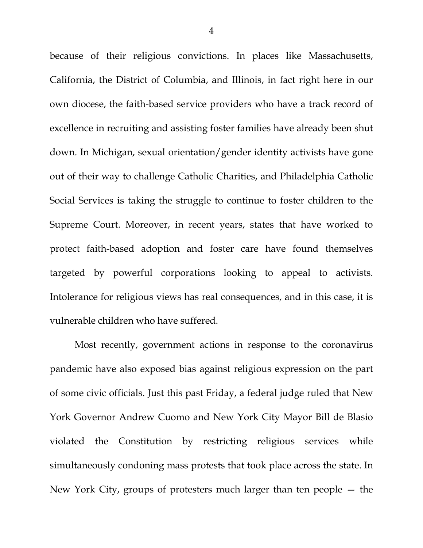because of their religious convictions. In places like Massachusetts, California, the District of Columbia, and Illinois, in fact right here in our own diocese, the faith-based service providers who have a track record of excellence in recruiting and assisting foster families have already been shut down. In Michigan, sexual orientation/gender identity activists have gone out of their way to challenge Catholic Charities, and Philadelphia Catholic Social Services is taking the struggle to continue to foster children to the Supreme Court. Moreover, in recent years, states that have worked to protect faith-based adoption and foster care have found themselves targeted by powerful corporations looking to appeal to activists. Intolerance for religious views has real consequences, and in this case, it is vulnerable children who have suffered.

Most recently, government actions in response to the coronavirus pandemic have also exposed bias against religious expression on the part of some civic officials. Just this past Friday, a federal judge ruled that New York Governor Andrew Cuomo and New York City Mayor Bill de Blasio violated the Constitution by restricting religious services while simultaneously condoning mass protests that took place across the state. In New York City, groups of protesters much larger than ten people — the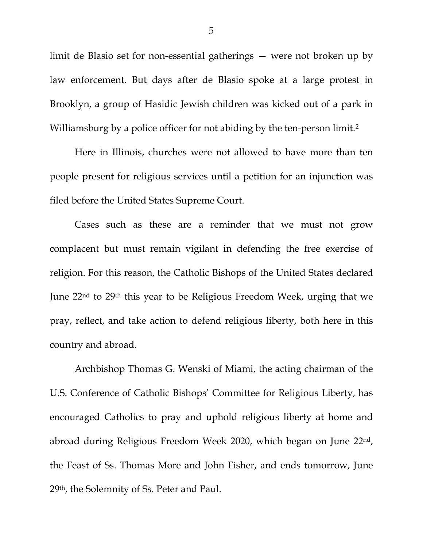limit de Blasio set for non-essential gatherings — were not broken up by law enforcement. But days after de Blasio spoke at a large protest in Brooklyn, a group of Hasidic Jewish children was kicked out of a park in Williamsburg by a police officer for not abiding by the ten-person limit.<sup>[2](#page-5-1)</sup>

Here in Illinois, churches were not allowed to have more than ten people present for religious services until a petition for an injunction was filed before the United States Supreme Court.

Cases such as these are a reminder that we must not grow complacent but must remain vigilant in defending the free exercise of religion. For this reason, the Catholic Bishops of the United States declared June 22nd to 29th this year to be Religious Freedom Week, urging that we pray, reflect, and take action to defend religious liberty, both here in this country and abroad.

Archbishop Thomas G. Wenski of Miami, the acting chairman of the U.S. Conference of Catholic Bishops' Committee for Religious Liberty, has encouraged Catholics to pray and uphold religious liberty at home and abroad during Religious Freedom Week 2020, which began on June 22nd, the Feast of Ss. Thomas More and John Fisher, and ends tomorrow, June 29th, the Solemnity of Ss. Peter and Paul.